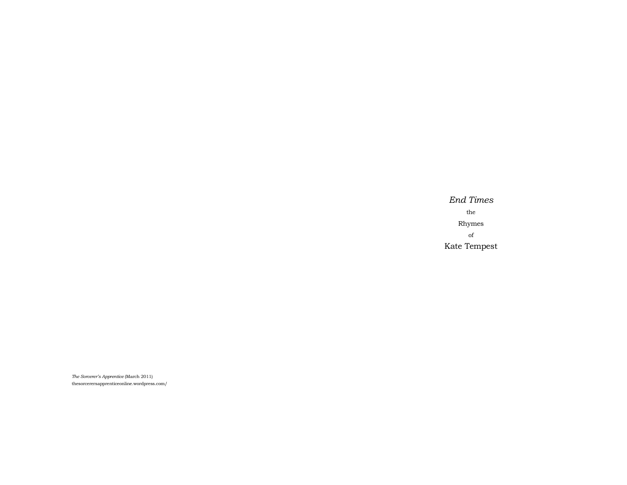End Times the Rhymes of Kate Tempest

The Sorcerer's Apprentice (March 2011) thesorcerersapprenticeonline.wordpress.com/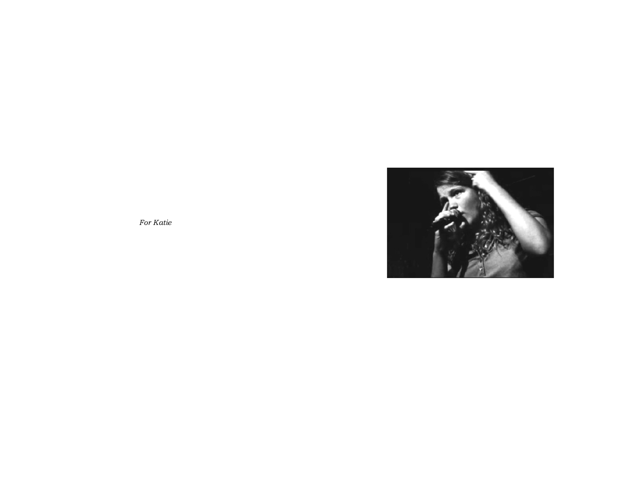

For Katie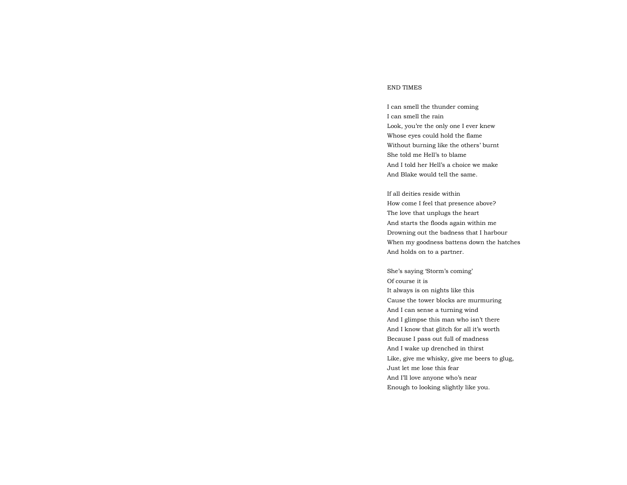# END TIMES

I can smell the thunder coming I can smell the rain Look, you're the only one I ever knew Whose eyes could hold the flame Without burning like the others' burnt She told me Hell's to blame And I told her Hell's a choice we make And Blake would tell the same.

If all deities reside within How come I feel that presence above? The love that unplugs the heart And starts the floods again within me Drowning out the badness that I harbour When my goodness battens down the hatches And holds on to a partner.

She's saying 'Storm's coming' Of course it is It always is on nights like this Cause the tower blocks are murmuring And I can sense a turning wind And I glimpse this man who isn't there And I know that glitch for all it's worth Because I pass out full of madness And I wake up drenched in thirst Like, give me whisky, give me beers to glug, Just let me lose this fear And I'll love anyone who's near Enough to looking slightly like you.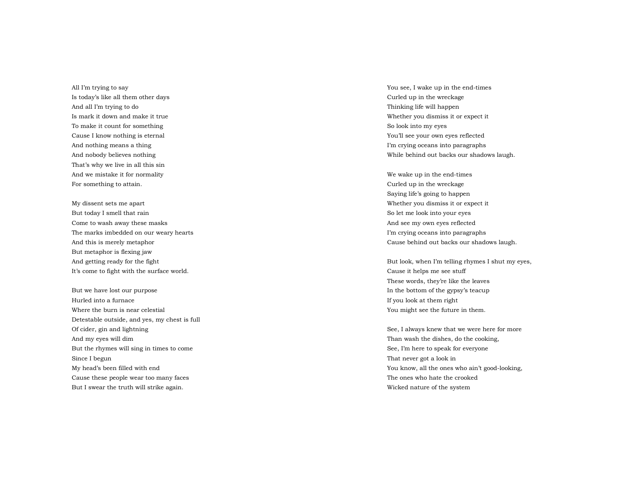All I'm trying to say Is today's like all them other days And all I'm trying to do Is mark it down and make it true To make it count for something Cause I know nothing is eternal And nothing means a thing And nobody believes nothing That's why we live in all this sin And we mistake it for normality For something to attain.

My dissent sets me apart But today I smell that rain Come to wash away these masks The marks imbedded on our weary hearts And this is merely metaphor But metaphor is flexing jaw And getting ready for the fight It's come to fight with the surface world.

But we have lost our purpose Hurled into a furnace Where the burn is near celestial Detestable outside, and yes, my chest is full Of cider, gin and lightning And my eyes will dim But the rhymes will sing in times to come Since I begun My head's been filled with end Cause these people wear too many faces But I swear the truth will strike again.

You see, I wake up in the end-times Curled up in the wreckage Thinking life will happen Whether you dismiss it or expect it So look into my eyes You'll see your own eyes reflected I'm crying oceans into paragraphs While behind out backs our shadows laugh.

We wake up in the end-times Curled up in the wreckage Saying life's going to happen Whether you dismiss it or expect it So let me look into your eyes And see my own eyes reflected I'm crying oceans into paragraphs Cause behind out backs our shadows laugh.

But look, when I'm telling rhymes I shut my eyes, Cause it helps me see stuff These words, they're like the leaves In the bottom of the gypsy's teacup If you look at them right You might see the future in them.

See, I always knew that we were here for more Than wash the dishes, do the cooking, See, I'm here to speak for everyone That never got a look in You know, all the ones who ain't good-looking, The ones who hate the crooked Wicked nature of the system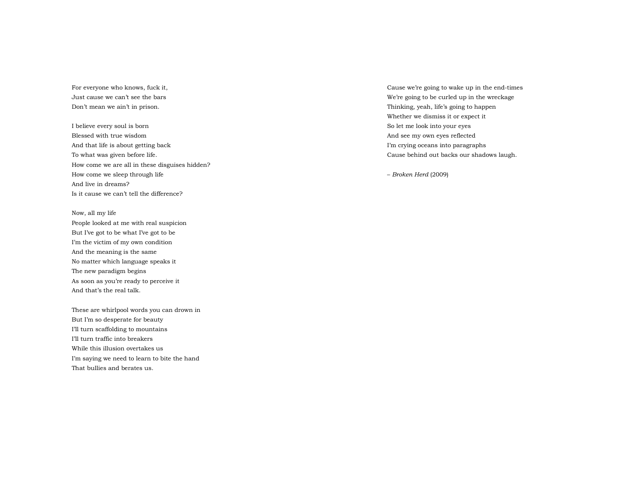For everyone who knows, fuck it, Just cause we can't see the bars Don't mean we ain't in prison.

I believe every soul is born Blessed with true wisdom And that life is about getting back To what was given before life. How come we are all in these disguises hidden? How come we sleep through life And live in dreams? Is it cause we can't tell the difference?

Now, all my life People looked at me with real suspicion But I've got to be what I've got to be I'm the victim of my own condition And the meaning is the same No matter which language speaks it The new paradigm begins As soon as you're ready to perceive it And that's the real talk.

These are whirlpool words you can drown in But I'm so desperate for beauty I'll turn scaffolding to mountains I'll turn traffic into breakers While this illusion overtakes us I'm saying we need to learn to bite the hand That bullies and berates us.

Cause we're going to wake up in the end-times We're going to be curled up in the wreckage Thinking, yeah, life's going to happen Whether we dismiss it or expect it So let me look into your eyes And see my own eyes reflected I'm crying oceans into paragraphs Cause behind out backs our shadows laugh.

– Broken Herd (2009)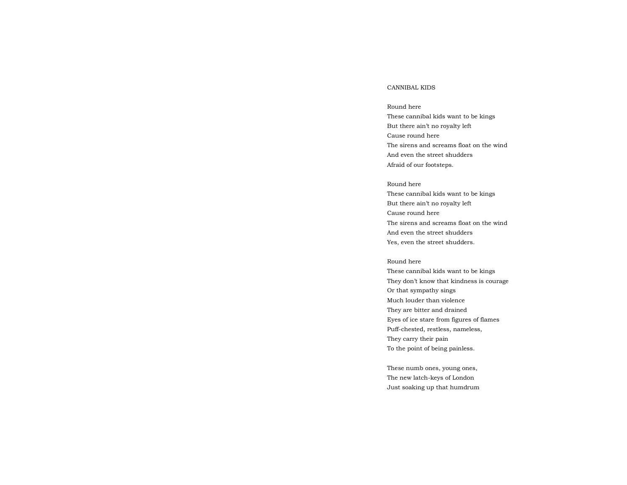### CANNIBAL KIDS

# Round here

These cannibal kids want to be kings But there ain't no royalty left Cause round here The sirens and screams float on the wind And even the street shudders Afraid of our footsteps.

# Round here

These cannibal kids want to be kings But there ain't no royalty left Cause round here The sirens and screams float on the wind And even the street shudders Yes, even the street shudders.

### Round here

These cannibal kids want to be kings They don't know that kindness is courage Or that sympathy sings Much louder than violence They are bitter and drained Eyes of ice stare from figures of flames Puff-chested, restless, nameless, They carry their pain To the point of being painless.

These numb ones, young ones, The new latch-keys of London Just soaking up that humdrum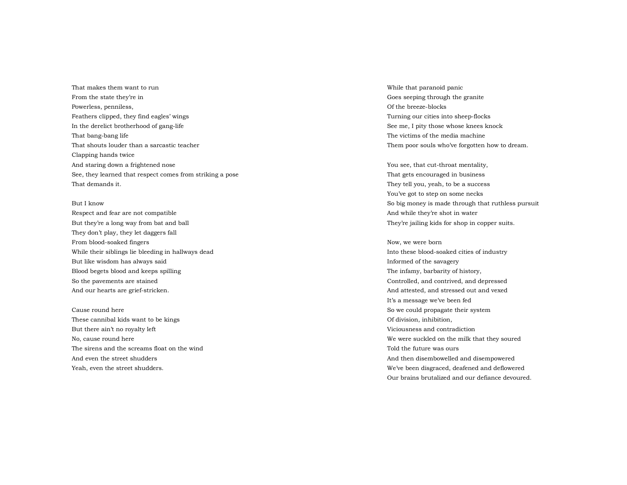That makes them want to run From the state they're in Powerless, penniless, Feathers clipped, they find eagles' wings In the derelict brotherhood of gang-life That bang-bang life That shouts louder than a sarcastic teacher Clapping hands twice And staring down a frightened nose See, they learned that respect comes from striking a pose That demands it.

But I know Respect and fear are not compatible But they're a long way from bat and ball They don't play, they let daggers fall From blood-soaked fingers While their siblings lie bleeding in hallways dead But like wisdom has always said Blood begets blood and keeps spilling So the pavements are stained And our hearts are grief-stricken.

Cause round here These cannibal kids want to be kings But there ain't no royalty left No, cause round here The sirens and the screams float on the wind And even the street shudders Yeah, even the street shudders.

While that paranoid panic Goes seeping through the granite Of the breeze-blocks Turning our cities into sheep-flocks See me, I pity those whose knees knock The victims of the media machine Them poor souls who've forgotten how to dream.

You see, that cut-throat mentality, That gets encouraged in business They tell you, yeah, to be a success You've got to step on some necks So big money is made through that ruthless pursuit And while they're shot in water They're jailing kids for shop in copper suits.

Now, we were born Into these blood-soaked cities of industry Informed of the savagery The infamy, barbarity of history, Controlled, and contrived, and depressed And attested, and stressed out and vexed It's a message we've been fed So we could propagate their system Of division, inhibition, Viciousness and contradiction We were suckled on the milk that they soured Told the future was ours And then disembowelled and disempowered We've been disgraced, deafened and deflowered Our brains brutalized and our defiance devoured.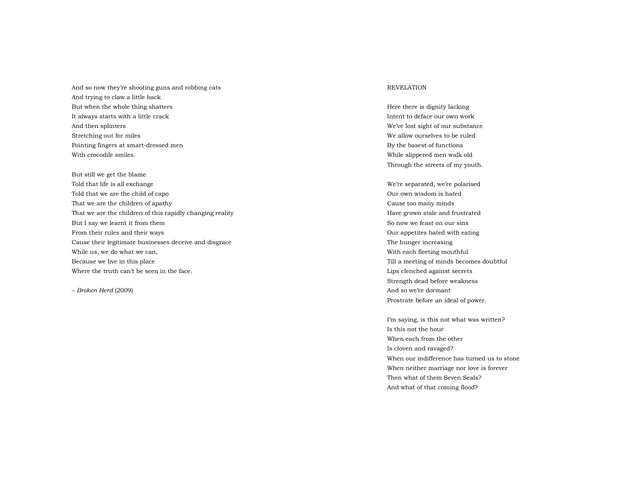And so now they're shooting guns and robbing cats And trying to claw a little back But when the whole thing shatters It always starts with a little crack And then splinters Stretching out for miles Pointing fingers at smart-dressed men With crocodile smiles.

But still we get the blame Told that life is all exchange Told that we are the child of capo That we are the children of apathy That we are the children of this rapidly changing reality But I say we learnt it from them From their rules and their ways Cause their legitimate businesses deceive and disgrace While us, we do what we can, Because we live in this place Where the truth can't be seen in the face.

– Broken Herd (2009)

### REVELATION

Here there is dignity lacking Intent to deface our own work We've lost sight of our substance We allow ourselves to be ruled By the basest of functions While slippered men walk old Through the streets of my youth.

We're separated, we're polarised Our own wisdom is hated Cause too many minds Have grown stale and frustrated So now we feast on our sins Our appetites bated with eating The hunger increasing With each fleeting mouthful Till a meeting of minds becomes doubtful Lips clenched against secrets Strength dead before weakness And so we're dormant Prostrate before an ideal of power.

I'm saying, is this not what was written? Is this not the hour When each from the other Is cloven and ravaged? When our indifference has turned us to stone When neither marriage nor love is forever Then what of them Seven Seals? And what of that coming flood?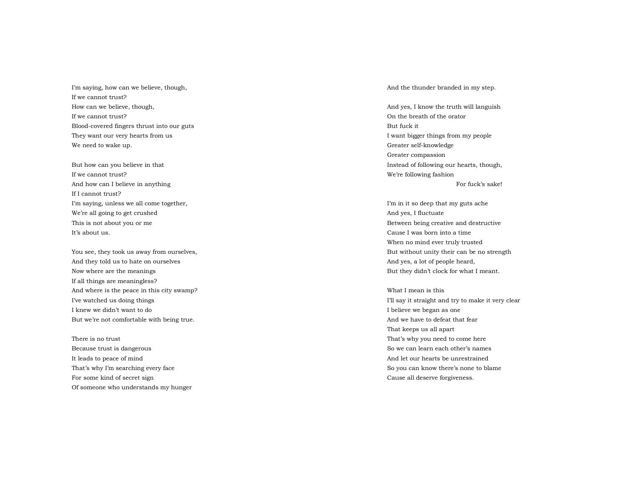I'm saying, how can we believe, though, If we cannot trust? How can we believe, though, If we cannot trust? Blood-covered fingers thrust into our guts They want our very hearts from us We need to wake up.

But how can you believe in that If we cannot trust? And how can I believe in anything If I cannot trust? I'm saying, unless we all come together, We're all going to get crushed This is not about you or me It's about us.

You see, they took us away from ourselves, And they told us to hate on ourselves Now where are the meanings If all things are meaningless? And where is the peace in this city swamp? I've watched us doing things I knew we didn't want to do But we're not comfortable with being true.

There is no trust Because trust is dangerous It leads to peace of mind That's why I'm searching every face For some kind of secret sign Of someone who understands my hunger And the thunder branded in my step.

And yes, I know the truth will languish On the breath of the orator But fuck it I want bigger things from my people Greater self-knowledge Greater compassion Instead of following our hearts, though, We're following fashion For fuck's sake!

I'm in it so deep that my guts ache And yes, I fluctuate Between being creative and destructive Cause I was born into a time When no mind ever truly trusted But without unity their can be no strength And yes, a lot of people heard, But they didn't clock for what I meant.

What I mean is this I'll say it straight and try to make it very clear I believe we began as one And we have to defeat that fear That keeps us all apart That's why you need to come here So we can learn each other's names And let our hearts be unrestrained So you can know there's none to blame Cause all deserve forgiveness.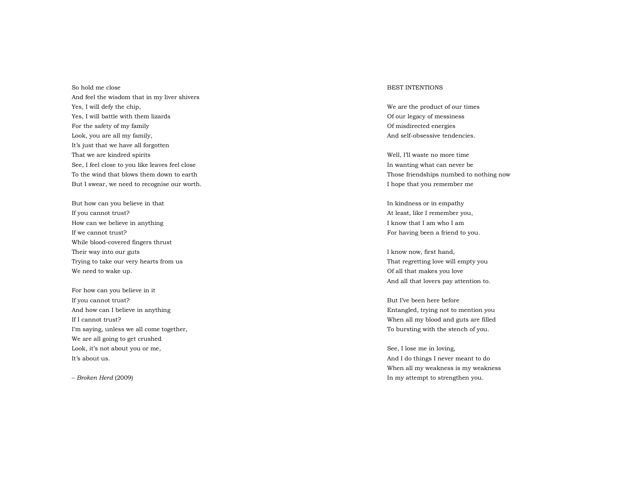So hold me close And feel the wisdom that in my liver shivers Yes, I will defy the chip, Yes, I will battle with them lizards For the safety of my family Look, you are all my family, It's just that we have all forgotten That we are kindred spirits See, I feel close to you like leaves feel close To the wind that blows them down to earth But I swear, we need to recognise our worth.

But how can you believe in that If you cannot trust? How can we believe in anything If we cannot trust? While blood-covered fingers thrust Their way into our guts Trying to take our very hearts from us We need to wake up.

For how can you believe in it If you cannot trust? And how can I believe in anything If I cannot trust? I'm saying, unless we all come together, We are all going to get crushed Look, it's not about you or me, It's about us.

– Broken Herd (2009)

# BEST INTENTIONS

We are the product of our times Of our legacy of messiness Of misdirected energies And self-obsessive tendencies.

Well, I'll waste no more time In wanting what can never be Those friendships numbed to nothing now I hope that you remember me

In kindness or in empathy At least, like I remember you, I know that I am who I am For having been a friend to you.

I know now, first hand, That regretting love will empty you Of all that makes you love And all that lovers pay attention to.

But I've been here before Entangled, trying not to mention you When all my blood and guts are filled To bursting with the stench of you.

See, I lose me in loving, And I do things I never meant to do When all my weakness is my weakness In my attempt to strengthen you.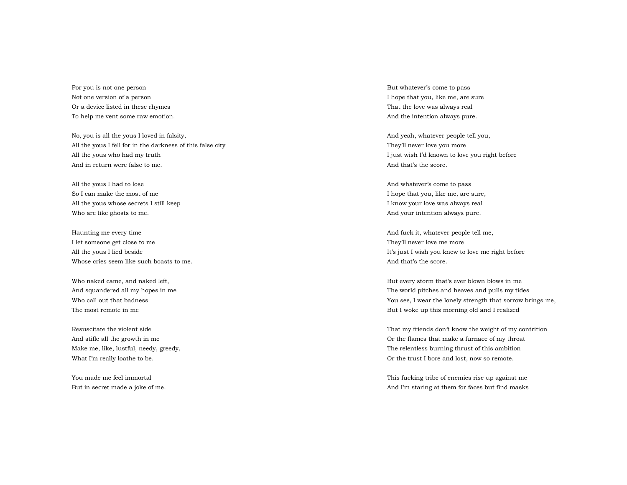For you is not one person Not one version of a person Or a device listed in these rhymes To help me vent some raw emotion.

No, you is all the yous I loved in falsity, All the yous I fell for in the darkness of this false city All the yous who had my truth And in return were false to me.

All the yous I had to lose So I can make the most of me All the yous whose secrets I still keep Who are like ghosts to me.

Haunting me every time I let someone get close to me All the yous I lied beside Whose cries seem like such boasts to me.

Who naked came, and naked left, And squandered all my hopes in me Who call out that badness The most remote in me

Resuscitate the violent side And stifle all the growth in me Make me, like, lustful, needy, greedy, What I'm really loathe to be.

You made me feel immortal But in secret made a joke of me.

But whatever's come to pass I hope that you, like me, are sure That the love was always real And the intention always pure.

And yeah, whatever people tell you, They'll never love you more I just wish I'd known to love you right before And that's the score.

And whatever's come to pass I hope that you, like me, are sure, I know your love was always real And your intention always pure.

And fuck it, whatever people tell me, They'll never love me more It's just I wish you knew to love me right before And that's the score.

But every storm that's ever blown blows in me The world pitches and heaves and pulls my tides You see, I wear the lonely strength that sorrow brings me, But I woke up this morning old and I realized

That my friends don't know the weight of my contrition Or the flames that make a furnace of my throat The relentless burning thrust of this ambition Or the trust I bore and lost, now so remote.

This fucking tribe of enemies rise up against me And I'm staring at them for faces but find masks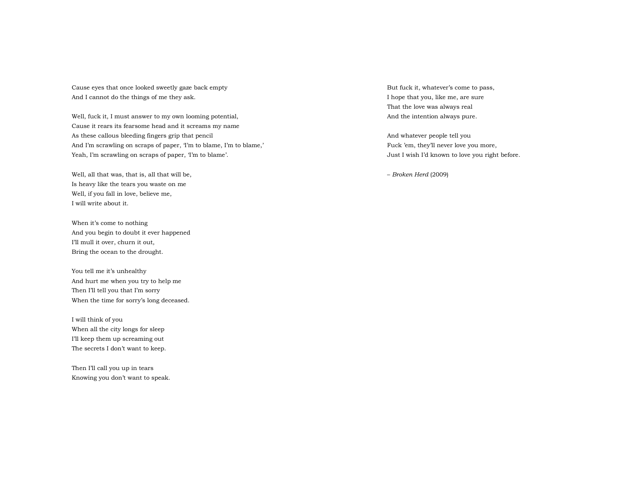Cause eyes that once looked sweetly gaze back emptyAnd I cannot do the things of me they ask.

Well, fuck it, I must answer to my own looming potential, Cause it rears its fearsome head and it screams my name As these callous bleeding fingers grip that pencil And I'm scrawling on scraps of paper, 'I'm to blame, I'm to blame,' Yeah, I'm scrawling on scraps of paper, 'I'm to blame'.

Well, all that was, that is, all that will be, Is heavy like the tears you waste on me Well, if you fall in love, believe me, I will write about it.

When it's come to nothing And you begin to doubt it ever happened I'll mull it over, churn it out, Bring the ocean to the drought.

You tell me it's unhealthy And hurt me when you try to help me Then I'll tell you that I'm sorry When the time for sorry's long deceased.

I will think of you When all the city longs for sleep I'll keep them up screaming out The secrets I don't want to keep.

Then I'll call you up in tears Knowing you don't want to speak. But fuck it, whatever's come to pass, I hope that you, like me, are sure That the love was always real And the intention always pure.

And whatever people tell you Fuck 'em, they'll never love you more, Just I wish I'd known to love you right before.

– Broken Herd (2009)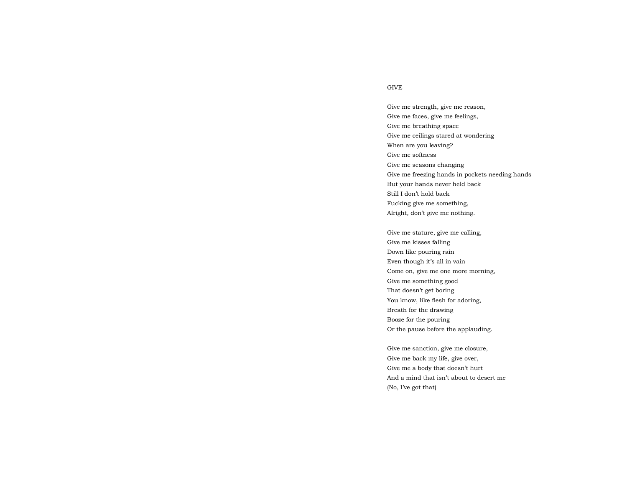# GIVE

Give me strength, give me reason, Give me faces, give me feelings, Give me breathing space Give me ceilings stared at wondering When are you leaving? Give me softness Give me seasons changing Give me freezing hands in pockets needing hands But your hands never held back Still I don't hold back Fucking give me something, Alright, don't give me nothing.

Give me stature, give me calling, Give me kisses falling Down like pouring rain Even though it's all in vain Come on, give me one more morning, Give me something good That doesn't get boring You know, like flesh for adoring, Breath for the drawing Booze for the pouring Or the pause before the applauding.

Give me sanction, give me closure, Give me back my life, give over, Give me a body that doesn't hurt And a mind that isn't about to desert me (No, I've got that)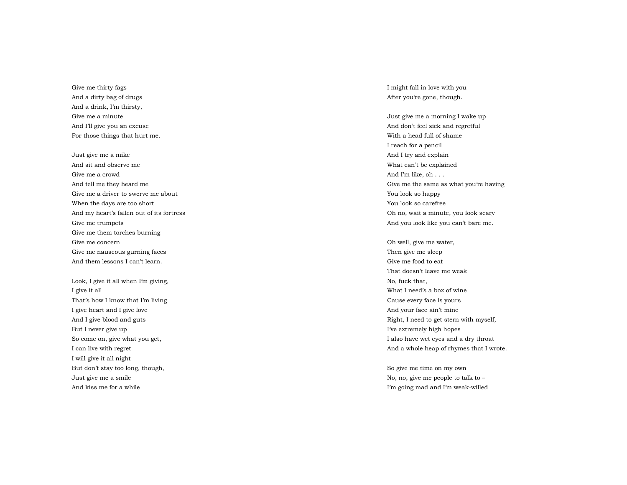Give me thirty fags And a dirty bag of drugs And a drink, I'm thirsty, Give me a minute And I'll give you an excuse For those things that hurt me.

Just give me a mike And sit and observe me Give me a crowd And tell me they heard me Give me a driver to swerve me about When the days are too short And my heart's fallen out of its fortress Give me trumpets Give me them torches burning Give me concern Give me nauseous gurning faces And them lessons I can't learn.

Look, I give it all when I'm giving, I give it all That's how I know that I'm living I give heart and I give love And I give blood and guts But I never give up So come on, give what you get, I can live with regret I will give it all night But don't stay too long, though, Just give me a smile And kiss me for a while

I might fall in love with you After you're gone, though.

Just give me a morning I wake up And don't feel sick and regretful With a head full of shame I reach for a pencil And I try and explain What can't be explained And I'm like, oh . . . Give me the same as what you're having You look so happy You look so carefree Oh no, wait a minute, you look scary And you look like you can't bare me.

Oh well, give me water, Then give me sleep Give me food to eat That doesn't leave me weak No, fuck that, What I need's a box of wine Cause every face is yours And your face ain't mine Right, I need to get stern with myself, I've extremely high hopes I also have wet eyes and a dry throat And a whole heap of rhymes that I wrote.

So give me time on my own No, no, give me people to talk to – I'm going mad and I'm weak-willed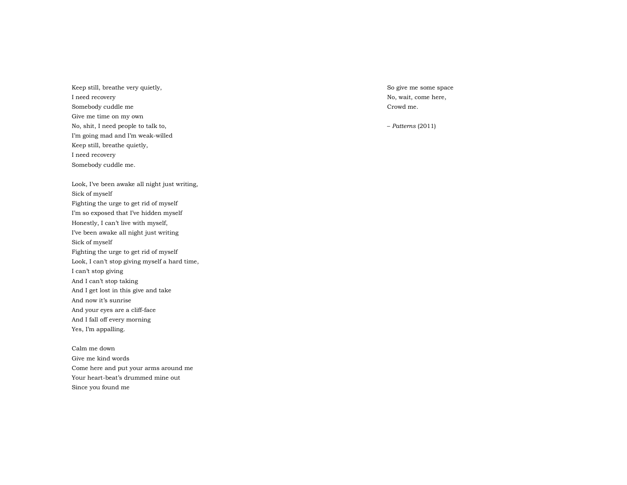Keep still, breathe very quietly, I need recovery Somebody cuddle me Give me time on my own No, shit, I need people to talk to, I'm going mad and I'm weak-willed Keep still, breathe quietly, I need recovery Somebody cuddle me.

Look, I've been awake all night just writing, Sick of myself Fighting the urge to get rid of myself I'm so exposed that I've hidden myself Honestly, I can't live with myself, I've been awake all night just writing Sick of myself Fighting the urge to get rid of myself Look, I can't stop giving myself a hard time, I can't stop giving And I can't stop taking And I get lost in this give and take And now it's sunrise And your eyes are a cliff-face And I fall off every morning Yes, I'm appalling.

Calm me down Give me kind words Come here and put your arms around me Your heart-beat's drummed mine out Since you found me

So give me some space No, wait, come here, Crowd me.

– Patterns (2011)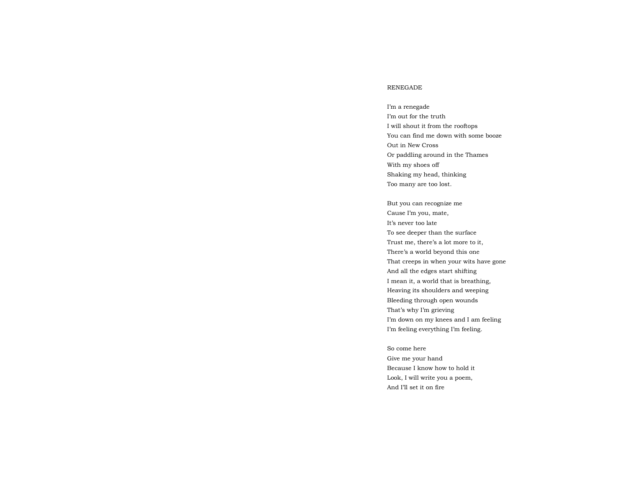# RENEGADE

I'm a renegade I'm out for the truth I will shout it from the rooftops You can find me down with some booze Out in New Cross Or paddling around in the Thames With my shoes off Shaking my head, thinking Too many are too lost.

But you can recognize me Cause I'm you, mate, It's never too late To see deeper than the surface Trust me, there's a lot more to it, There's a world beyond this one That creeps in when your wits have gone And all the edges start shifting I mean it, a world that is breathing, Heaving its shoulders and weeping Bleeding through open wounds That's why I'm grieving I'm down on my knees and I am feeling I'm feeling everything I'm feeling.

### So come here

Give me your hand Because I know how to hold it Look, I will write you a poem, And I'll set it on fire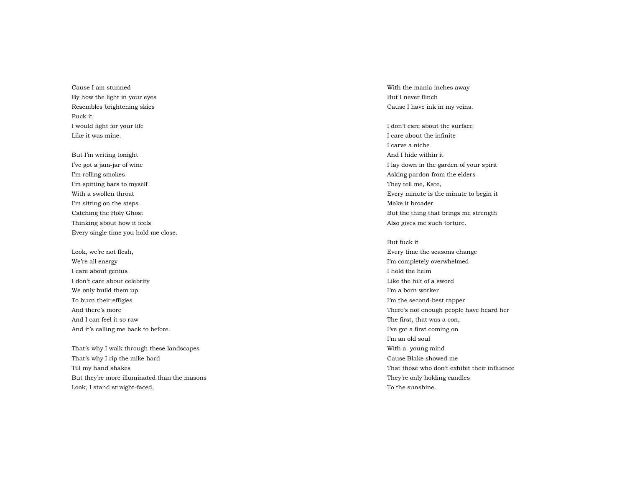Cause I am stunned By how the light in your eyes Resembles brightening skies Fuck it I would fight for your life Like it was mine.

But I'm writing tonight I've got a jam-jar of wine I'm rolling smokes I'm spitting bars to myself With a swollen throat I'm sitting on the steps Catching the Holy Ghost Thinking about how it feels Every single time you hold me close.

Look, we're not flesh, We're all energy I care about genius I don't care about celebrity We only build them up To burn their effigies And there's more And I can feel it so raw And it's calling me back to before.

That's why I walk through these landscapes That's why I rip the mike hard Till my hand shakes But they're more illuminated than the masons Look, I stand straight-faced,

With the mania inches away But I never flinch Cause I have ink in my veins.

I don't care about the surface I care about the infinite I carve a niche And I hide within it I lay down in the garden of your spirit Asking pardon from the elders They tell me, Kate, Every minute is the minute to begin it Make it broader But the thing that brings me strength Also gives me such torture.

# But fuck it

Every time the seasons change I'm completely overwhelmed I hold the helm Like the hilt of a sword I'm a born worker I'm the second-best rapper There's not enough people have heard her The first, that was a con, I've got a first coming on I'm an old soul With a young mind Cause Blake showed me That those who don't exhibit their influence They're only holding candles To the sunshine.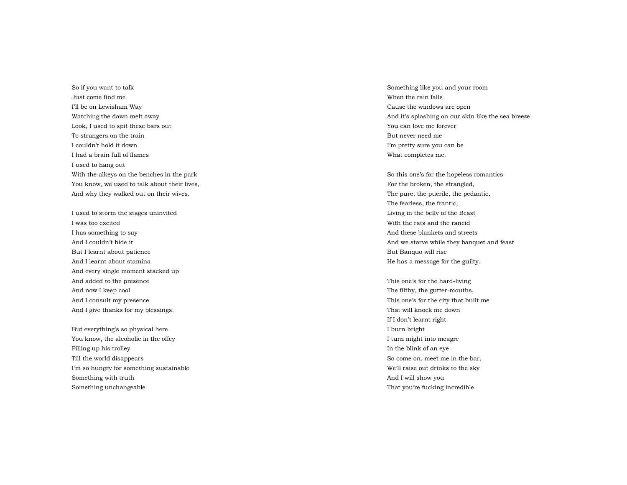So if you want to talk Just come find me I'll be on Lewisham Way Watching the dawn melt away Look, I used to spit these bars out To strangers on the train I couldn't hold it down I had a brain full of flames I used to hang out With the alkeys on the benches in the park You know, we used to talk about their lives, And why they walked out on their wives.

I used to storm the stages uninvited I was too excited I has something to say And I couldn't hide it But I learnt about patience And I learnt about stamina And every single moment stacked up And added to the presence And now I keep cool And I consult my presence And I give thanks for my blessings.

But everything's so physical here You know, the alcoholic in the offey Filling up his trolley Till the world disappears I'm so hungry for something sustainable Something with truth Something unchangeable

Something like you and your room When the rain falls Cause the windows are open And it's splashing on our skin like the sea breeze You can love me forever But never need me I'm pretty sure you can be What completes me.

So this one's for the hopeless romantics For the broken, the strangled, The pure, the puerile, the pedantic, The fearless, the frantic, Living in the belly of the Beast With the rats and the rancid And these blankets and streets And we starve while they banquet and feast But Banquo will rise He has a message for the guilty.

This one's for the hard-living The filthy, the gutter-mouths, This one's for the city that built me That will knock me down If I don't learnt right I burn bright I turn might into meagre In the blink of an eye So come on, meet me in the bar, We'll raise out drinks to the sky And I will show you That you're fucking incredible.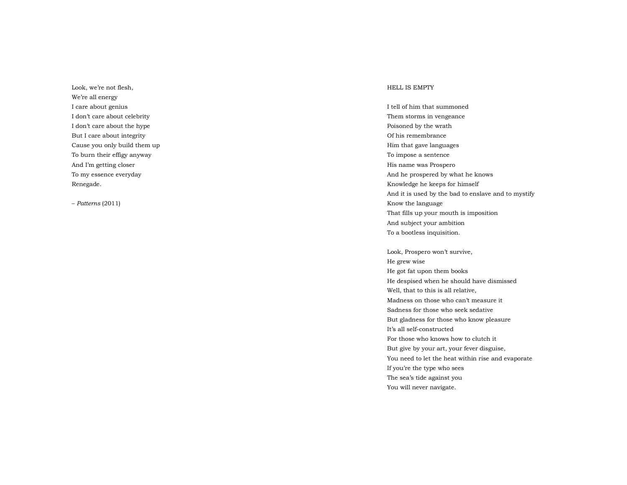Look, we're not flesh, We're all energy I care about genius I don't care about celebrity I don't care about the hype But I care about integrity Cause you only build them up To burn their effigy anyway And I'm getting closer To my essence everyday Renegade.

– Patterns (2011)

## HELL IS EMPTY

I tell of him that summoned Them storms in vengeance Poisoned by the wrath Of his remembrance Him that gave languages To impose a sentence His name was Prospero And he prospered by what he knows Knowledge he keeps for himself And it is used by the bad to enslave and to mystifyKnow the language That fills up your mouth is imposition And subject your ambition To a bootless inquisition.

Look, Prospero won't survive, He grew wise He got fat upon them books He despised when he should have dismissed Well, that to this is all relative, Madness on those who can't measure it Sadness for those who seek sedative But gladness for those who know pleasure It's all self-constructed For those who knows how to clutch it But give by your art, your fever disguise, You need to let the heat within rise and evaporate If you're the type who sees The sea's tide against you You will never navigate.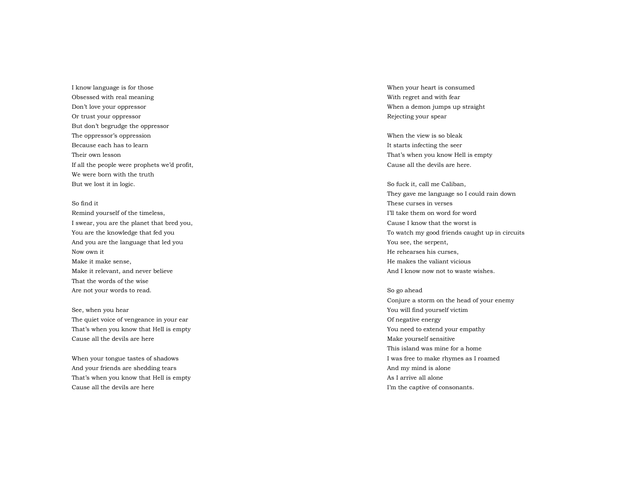I know language is for those Obsessed with real meaning Don't love your oppressor Or trust your oppressor But don't begrudge the oppressor The oppressor's oppression Because each has to learn Their own lesson If all the people were prophets we'd profit, We were born with the truth But we lost it in logic.

So find it Remind yourself of the timeless, I swear, you are the planet that bred you, You are the knowledge that fed you And you are the language that led you Now own it Make it make sense, Make it relevant, and never believe That the words of the wise Are not your words to read.

See, when you hear The quiet voice of vengeance in your ear That's when you know that Hell is empty Cause all the devils are here

When your tongue tastes of shadows And your friends are shedding tears That's when you know that Hell is empty Cause all the devils are here

When your heart is consumed With regret and with fear When a demon jumps up straight Rejecting your spear

When the view is so bleak It starts infecting the seer That's when you know Hell is empty Cause all the devils are here.

So fuck it, call me Caliban, They gave me language so I could rain down These curses in verses I'll take them on word for word Cause I know that the worst is To watch my good friends caught up in circuits You see, the serpent, He rehearses his curses, He makes the valiant vicious And I know now not to waste wishes.

So go ahead Conjure a storm on the head of your enemy You will find yourself victim Of negative energy You need to extend your empathy Make yourself sensitive This island was mine for a home I was free to make rhymes as I roamed And my mind is alone As I arrive all alone I'm the captive of consonants.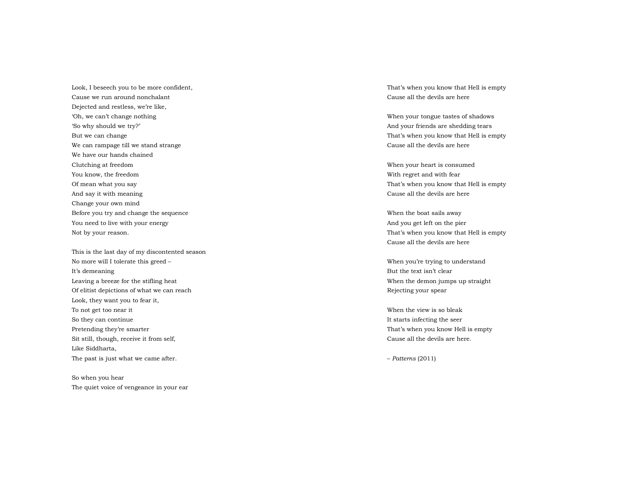Look, I beseech you to be more confident, Cause we run around nonchalant Dejected and restless, we're like, 'Oh, we can't change nothing 'So why should we try?' But we can change We can rampage till we stand strange We have our hands chained Clutching at freedom You know, the freedom Of mean what you say And say it with meaning Change your own mind Before you try and change the sequence You need to live with your energy Not by your reason.

This is the last day of my discontented season No more will I tolerate this greed – It's demeaning Leaving a breeze for the stifling heat Of elitist depictions of what we can reach Look, they want you to fear it, To not get too near it So they can continue Pretending they're smarter Sit still, though, receive it from self, Like Siddharta, The past is just what we came after.

So when you hear The quiet voice of vengeance in your ear That's when you know that Hell is empty Cause all the devils are here

When your tongue tastes of shadows And your friends are shedding tears That's when you know that Hell is empty Cause all the devils are here

When your heart is consumed With regret and with fear That's when you know that Hell is empty Cause all the devils are here

When the boat sails away And you get left on the pier That's when you know that Hell is empty Cause all the devils are here

When you're trying to understand But the text isn't clear When the demon jumps up straight Rejecting your spear

When the view is so bleak It starts infecting the seer That's when you know Hell is empty Cause all the devils are here.

– Patterns (2011)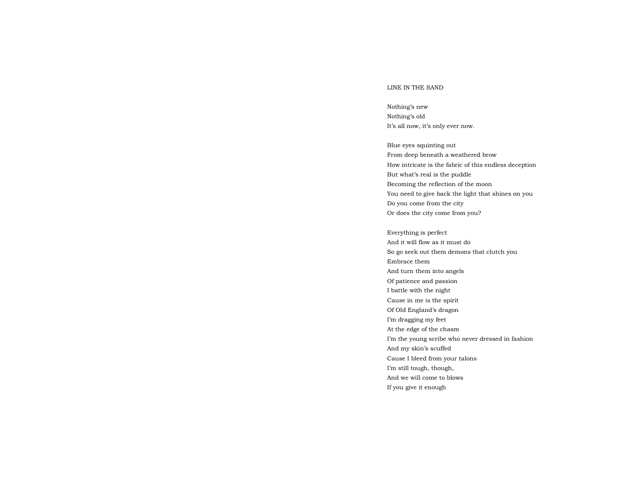# LINE IN THE SAND

Nothing's new Nothing's old It's all now, it's only ever now.

Blue eyes squinting out From deep beneath a weathered brow How intricate is the fabric of this endless deception But what's real is the puddle Becoming the reflection of the moon You need to give back the light that shines on you Do you come from the city Or does the city come from you?

Everything is perfect And it will flow as it must do So go seek out them demons that clutch you Embrace them And turn them into angels Of patience and passion I battle with the night Cause in me is the spirit Of Old England's dragon I'm dragging my feet At the edge of the chasm I'm the young scribe who never dressed in fashion And my skin's scuffed Cause I bleed from your talons I'm still tough, though, And we will come to blows If you give it enough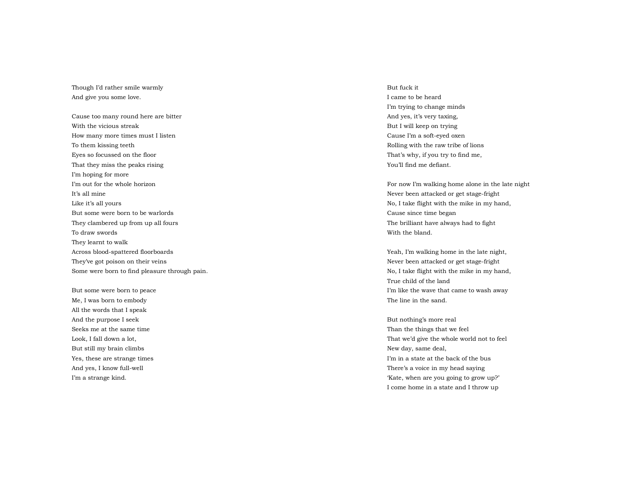Though I'd rather smile warmly And give you some love.

Cause too many round here are bitter With the vicious streak How many more times must I listen To them kissing teeth Eyes so focussed on the floor That they miss the peaks rising I'm hoping for more I'm out for the whole horizon It's all mine Like it's all yours But some were born to be warlords They clambered up from up all fours To draw swords They learnt to walk Across blood-spattered floorboards They've got poison on their veins Some were born to find pleasure through pain.

But some were born to peace Me, I was born to embody All the words that I speak And the purpose I seek Seeks me at the same time Look, I fall down a lot, But still my brain climbs Yes, these are strange times And yes, I know full-well I'm a strange kind.

# But fuck it

I came to be heard I'm trying to change minds And yes, it's very taxing, But I will keep on trying Cause I'm a soft-eyed oxen Rolling with the raw tribe of lions That's why, if you try to find me, You'll find me defiant.

For now I'm walking home alone in the late night Never been attacked or get stage-fright No, I take flight with the mike in my hand, Cause since time began The brilliant have always had to fight With the bland.

Yeah, I'm walking home in the late night, Never been attacked or get stage-fright No, I take flight with the mike in my hand, True child of the land I'm like the wave that came to wash away The line in the sand.

But nothing's more real Than the things that we feel That we'd give the whole world not to feel New day, same deal, I'm in a state at the back of the bus There's a voice in my head saying 'Kate, when are you going to grow up?' I come home in a state and I throw up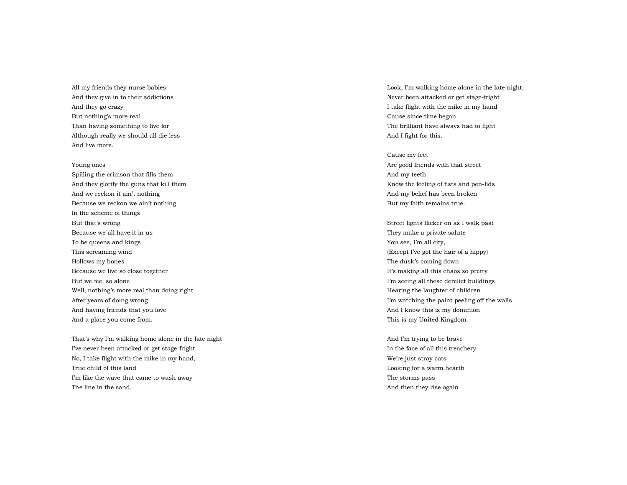All my friends they nurse babies And they give in to their addictions And they go crazy But nothing's more real Than having something to live for Although really we should all die less And live more.

#### Young ones

Spilling the crimson that fills them And they glorify the guns that kill them And we reckon it ain't nothing Because we reckon we ain't nothing In the scheme of things But that's wrong Because we all have it in us To be queens and kings This screaming wind Hollows my bones Because we live so close together But we feel so alone Well, nothing's more real than doing right After years of doing wrong And having friends that you love And a place you come from.

That's why I'm walking home alone in the late nightI've never been attacked or get stage-fright No, I take flight with the mike in my hand, True child of this land I'm like the wave that came to wash away The line in the sand.

Look, I'm walking home alone in the late night, Never been attacked or get stage-fright I take flight with the mike in my hand Cause since time began The brilliant have always had to fight And I fight for this.

#### Cause my feet

Are good friends with that street And my teeth Know the feeling of fists and pen-lids And my belief has been broken But my faith remains true.

Street lights flicker on as I walk past They make a private salute You see, I'm all city, (Except I've got the hair of a hippy) The dusk's coming down It's making all this chaos so pretty I'm seeing all these derelict buildings Hearing the laughter of children I'm watching the paint peeling off the walls And I know this is my dominion This is my United Kingdom.

And I'm trying to be brave In the face of all this treachery We're just stray cats Looking for a warm hearth The storms pass And then they rise again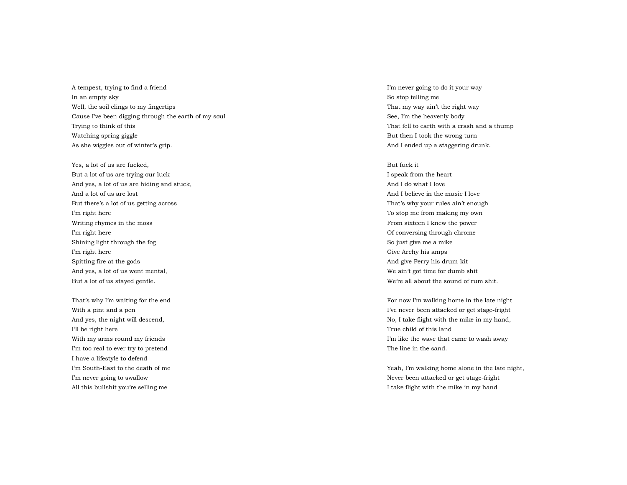A tempest, trying to find a friend In an empty sky Well, the soil clings to my fingertips Cause I've been digging through the earth of my soul Trying to think of this Watching spring giggle As she wiggles out of winter's grip.

Yes, a lot of us are fucked, But a lot of us are trying our luck And yes, a lot of us are hiding and stuck, And a lot of us are lost But there's a lot of us getting across I'm right here Writing rhymes in the moss I'm right here Shining light through the fog I'm right here Spitting fire at the gods And yes, a lot of us went mental, But a lot of us stayed gentle.

That's why I'm waiting for the end With a pint and a pen And yes, the night will descend, I'll be right here With my arms round my friends I'm too real to ever try to pretend I have a lifestyle to defend I'm South-East to the death of me I'm never going to swallow All this bullshit you're selling me

I'm never going to do it your way So stop telling me That my way ain't the right way See, I'm the heavenly body That fell to earth with a crash and a thump But then I took the wrong turn And I ended up a staggering drunk.

# But fuck it

I speak from the heart And I do what I love And I believe in the music I love That's why your rules ain't enough To stop me from making my own From sixteen I knew the power Of conversing through chrome So just give me a mike Give Archy his amps And give Ferry his drum-kit We ain't got time for dumb shit We're all about the sound of rum shit.

For now I'm walking home in the late night I've never been attacked or get stage-fright No, I take flight with the mike in my hand, True child of this land I'm like the wave that came to wash away The line in the sand.

Yeah, I'm walking home alone in the late night, Never been attacked or get stage-fright I take flight with the mike in my hand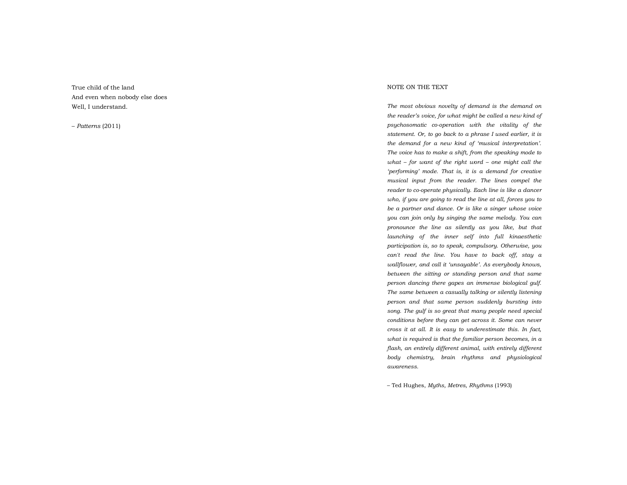True child of the land And even when nobody else does Well, I understand.

– Patterns (2011)

#### NOTE ON THE TEXT

The most obvious novelty of demand is the demand on the reader's voice, for what might be called a new kind of psychosomatic co-operation with the vitality of thestatement. Or, to go back to a phrase I used earlier, it is the demand for a new kind of 'musical interpretation'. The voice has to make a shift, from the speaking mode to what – for want of the right word – one might call the 'performing' mode. That is, it is a demand for creative musical input from the reader. The lines compel the reader to co-operate physically. Each line is like a dancer who, if you are going to read the line at all, forces you to be a partner and dance. Or is like a singer whose voice you can join only by singing the same melody. You can pronounce the line as silently as you like, but that launching of the inner self into full kinaesthetic participation is, so to speak, compulsory. Otherwise, you can't read the line. You have to back off, stay a wallflower, and call it 'unsayable'. As everybody knows, between the sitting or standing person and that same person dancing there gapes an immense biological gulf. The same between a casually talking or silently listening person and that same person suddenly bursting into song. The gulf is so great that many people need special conditions before they can get across it. Some can never cross it at all. It is easy to underestimate this. In fact, what is required is that the familiar person becomes, in a flash, an entirely different animal, with entirely different body chemistry, brain rhythms and physiological awareness.

– Ted Hughes, Myths, Metres, Rhythms (1993)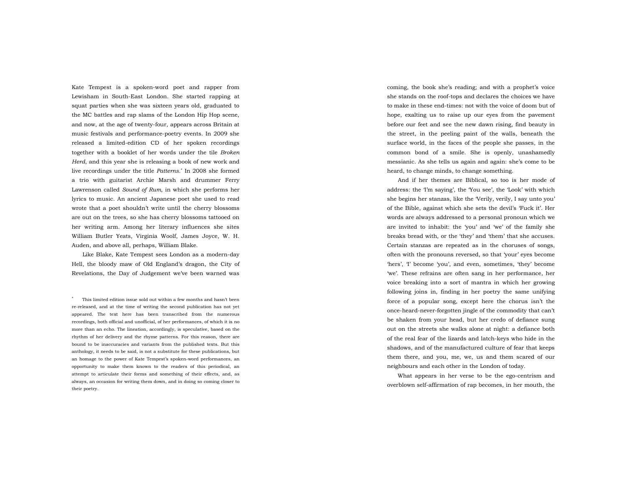Kate Tempest is a spoken-word poet and rapper from Lewisham in South-East London. She started rapping at squat parties when she was sixteen years old, graduated to the MC battles and rap slams of the London Hip Hop scene, and now, at the age of twenty-four, appears across Britain at music festivals and performance-poetry events. In 2009 she released a limited-edition CD of her spoken recordings together with a booklet of her words under the tile Broken Herd, and this year she is releasing a book of new work and live recordings under the title Patterns.\* In 2008 she formed a trio with guitarist Archie Marsh and drummer Ferry Lawrenson called Sound of Rum, in which she performs her lyrics to music. An ancient Japanese poet she used to read wrote that a poet shouldn't write until the cherry blossoms are out on the trees, so she has cherry blossoms tattooed on her writing arm. Among her literary influences she sites William Butler Yeats, Virginia Woolf, James Joyce, W. H. Auden, and above all, perhaps, William Blake.

Like Blake, Kate Tempest sees London as a modern-day Hell, the bloody maw of Old England's dragon, the City of Revelations, the Day of Judgement we've been warned was

 This limited edition issue sold out within a few months and hasn't been re-released, and at the time of writing the second publication has not yet appeared. The text here has been transcribed from the numerous recordings, both official and unofficial, of her performances, of which it is no more than an echo. The lineation, accordingly, is speculative, based on the rhythm of her delivery and the rhyme patterns. For this reason, there are bound to be inaccuracies and variants from the published texts. But this anthology, it needs to be said, is not a substitute for these publications, but an homage to the power of Kate Tempest's spoken-word performances, an opportunity to make them known to the readers of this periodical, an attempt to articulate their forms and something of their effects, and, as always, an occasion for writing them down, and in doing so coming closer to their poetry.

coming, the book she's reading; and with a prophet's voice she stands on the roof-tops and declares the choices we have to make in these end-times: not with the voice of doom but of hope, exalting us to raise up our eyes from the pavement before our feet and see the new dawn rising, find beauty in the street, in the peeling paint of the walls, beneath the surface world, in the faces of the people she passes, in the common bond of a smile. She is openly, unashamedly messianic. As she tells us again and again: she's come to be heard, to change minds, to change something.

And if her themes are Biblical, so too is her mode of address: the 'I'm saying', the 'You see', the 'Look' with which she begins her stanzas, like the 'Verily, verily, I say unto you' of the Bible, against which she sets the devil's 'Fuck it'. Her words are always addressed to a personal pronoun which we are invited to inhabit: the 'you' and 'we' of the family she breaks bread with, or the 'they' and 'them' that she accuses. Certain stanzas are repeated as in the choruses of songs, often with the pronouns reversed, so that 'your' eyes become 'hers', 'I' become 'you', and even, sometimes, 'they' become 'we'. These refrains are often sang in her performance, her voice breaking into a sort of mantra in which her growing following joins in, finding in her poetry the same unifying force of a popular song, except here the chorus isn't the once-heard-never-forgotten jingle of the commodity that can't be shaken from your head, but her credo of defiance sung out on the streets she walks alone at night: a defiance both of the real fear of the lizards and latch-keys who hide in the shadows, and of the manufactured culture of fear that keeps them there, and you, me, we, us and them scared of our neighbours and each other in the London of today.

What appears in her verse to be the ego-centrism and overblown self-affirmation of rap becomes, in her mouth, the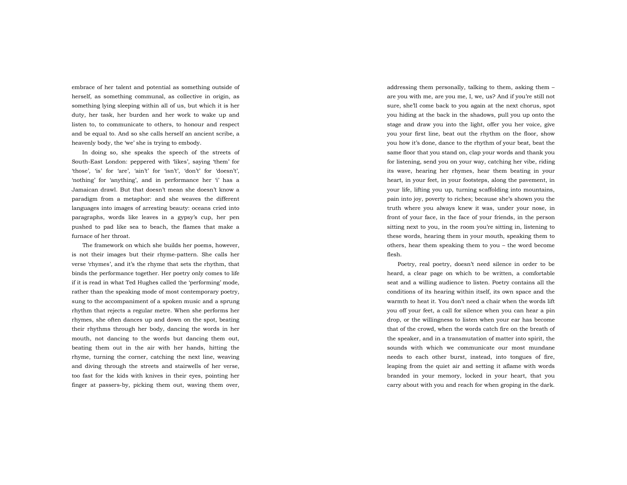embrace of her talent and potential as something outside of herself, as something communal, as collective in origin, as something lying sleeping within all of us, but which it is her duty, her task, her burden and her work to wake up and listen to, to communicate to others, to honour and respect and be equal to. And so she calls herself an ancient scribe, a heavenly body, the 'we' she is trying to embody.

In doing so, she speaks the speech of the streets of South-East London: peppered with 'likes', saying 'them' for 'those', 'is' for 'are', 'ain't' for 'isn't', 'don't' for 'doesn't', 'nothing' for 'anything', and in performance her 'i' has a Jamaican drawl. But that doesn't mean she doesn't know a paradigm from a metaphor: and she weaves the different languages into images of arresting beauty: oceans cried into paragraphs, words like leaves in a gypsy's cup, her pen pushed to pad like sea to beach, the flames that make a furnace of her throat.

The framework on which she builds her poems, however, is not their images but their rhyme-pattern. She calls her verse 'rhymes', and it's the rhyme that sets the rhythm, that binds the performance together. Her poetry only comes to life if it is read in what Ted Hughes called the 'performing' mode, rather than the speaking mode of most contemporary poetry, sung to the accompaniment of a spoken music and a sprung rhythm that rejects a regular metre. When she performs her rhymes, she often dances up and down on the spot, beating their rhythms through her body, dancing the words in her mouth, not dancing to the words but dancing them out, beating them out in the air with her hands, hitting the rhyme, turning the corner, catching the next line, weaving and diving through the streets and stairwells of her verse, too fast for the kids with knives in their eyes, pointing her finger at passers-by, picking them out, waving them over, addressing them personally, talking to them, asking them – are you with me, are you me, I, we, us? And if you're still not sure, she'll come back to you again at the next chorus, spot you hiding at the back in the shadows, pull you up onto the stage and draw you into the light, offer you her voice, give you your first line, beat out the rhythm on the floor, show you how it's done, dance to the rhythm of your beat, beat the same floor that you stand on, clap your words and thank you for listening, send you on your way, catching her vibe, riding its wave, hearing her rhymes, hear them beating in your heart, in your feet, in your footsteps, along the pavement, in your life, lifting you up, turning scaffolding into mountains, pain into joy, poverty to riches; because she's shown you the truth where you always knew it was, under your nose, in front of your face, in the face of your friends, in the person sitting next to you, in the room you're sitting in, listening to these words, hearing them in your mouth, speaking them to others, hear them speaking them to you – the word become flesh.

Poetry, real poetry, doesn't need silence in order to be heard, a clear page on which to be written, a comfortable seat and a willing audience to listen. Poetry contains all the conditions of its hearing within itself, its own space and the warmth to heat it. You don't need a chair when the words lift you off your feet, a call for silence when you can hear a pin drop, or the willingness to listen when your ear has become that of the crowd, when the words catch fire on the breath of the speaker, and in a transmutation of matter into spirit, the sounds with which we communicate our most mundane needs to each other burst, instead, into tongues of fire, leaping from the quiet air and setting it aflame with words branded in your memory, locked in your heart, that you carry about with you and reach for when groping in the dark.